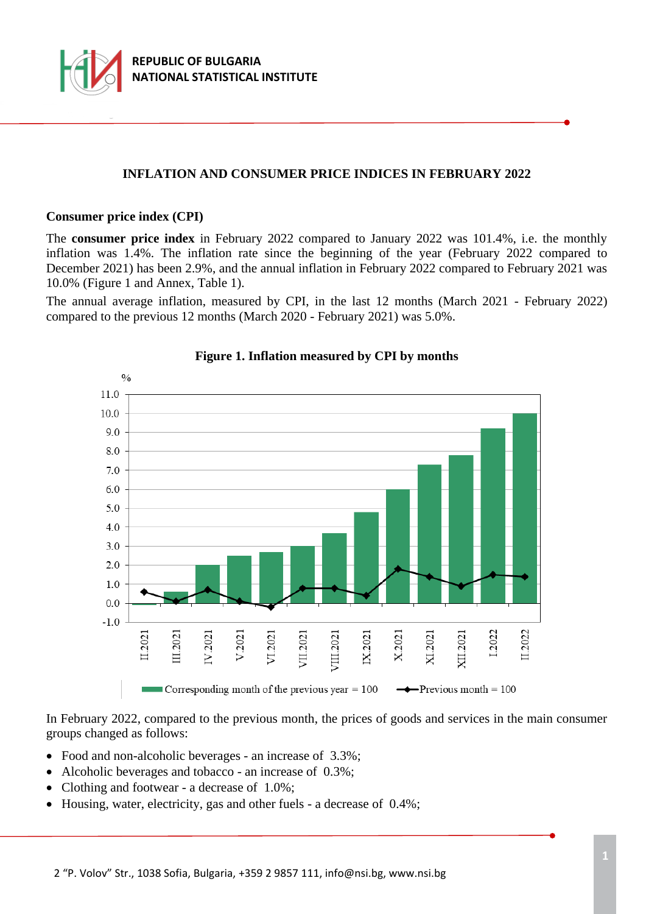

## **INFLATION AND CONSUMER PRICE INDICES IN FEBRUARY 2022**

#### **Consumer price index (CPI)**

The **consumer price index** in February 2022 compared to January 2022 was 101.4%, i.e. the monthly inflation was 1.4%. The inflation rate since the beginning of the year (February 2022 compared to December 2021) has been 2.9%, and the annual inflation in February 2022 compared to February 2021 was 10.0% (Figure 1 and Annex, Table 1).

The annual average inflation, measured by CPI, in the last 12 months (March 2021 - February 2022) compared to the previous 12 months (March 2020 - February 2021) was 5.0%.



## **Figure 1. Inflation measured by CPI by months**

In February 2022, compared to the previous month, the prices of goods and services in the main consumer groups changed as follows:

- Food and non-alcoholic beverages an increase of 3.3%;
- Alcoholic beverages and tobacco an increase of 0.3%;
- Clothing and footwear a decrease of 1.0%;
- Housing, water, electricity, gas and other fuels a decrease of 0.4%;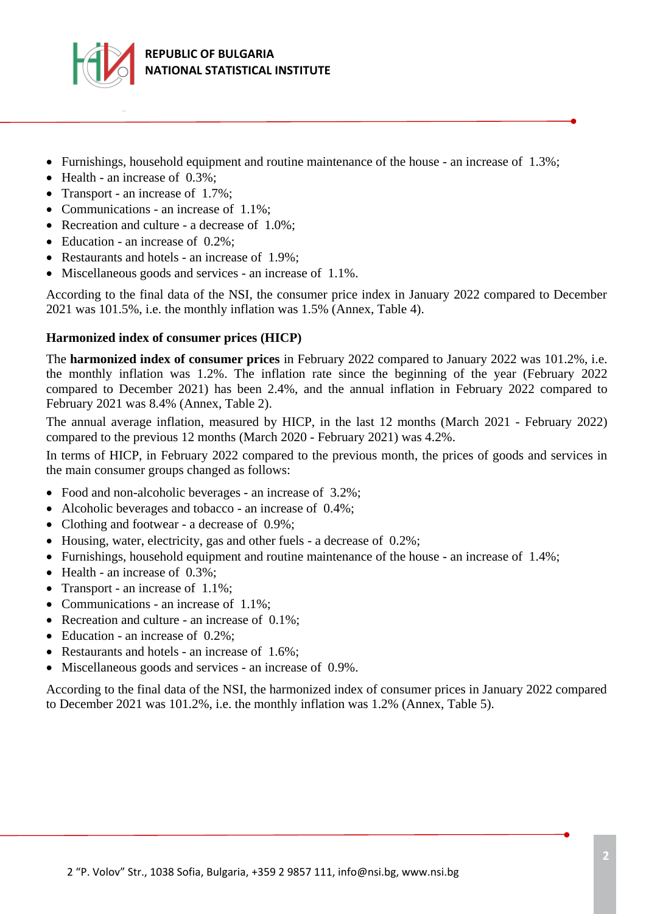

- Furnishings, household equipment and routine maintenance of the house an increase of  $1.3\%$ ;
- Health an increase of 0.3%;
- Transport an increase of 1.7%;
- Communications an increase of 1.1%;
- Recreation and culture a decrease of 1.0%;
- Education an increase of 0.2%;
- Restaurants and hotels an increase of 1.9%;
- Miscellaneous goods and services an increase of 1.1%.

According to the final data of the NSI, the consumer price index in January 2022 compared to December 2021 was 101.5%, i.e. the monthly inflation was 1.5% (Annex, Table 4).

## **Harmonized index of consumer prices (HICP)**

The **harmonized index of consumer prices** in February 2022 compared to January 2022 was 101.2%, i.e. the monthly inflation was 1.2%. The inflation rate since the beginning of the year (February 2022 compared to December 2021) has been 2.4%, and the annual inflation in February 2022 compared to February 2021 was 8.4% (Annex, Table 2).

The annual average inflation, measured by HICP, in the last 12 months (March 2021 - February 2022) compared to the previous 12 months (March 2020 - February 2021) was 4.2%.

In terms of HICP, in February 2022 compared to the previous month, the prices of goods and services in the main consumer groups changed as follows:

- Food and non-alcoholic beverages an increase of 3.2%;
- Alcoholic beverages and tobacco an increase of 0.4%;
- Clothing and footwear a decrease of 0.9%;
- Housing, water, electricity, gas and other fuels a decrease of 0.2%;
- Furnishings, household equipment and routine maintenance of the house an increase of 1.4%;
- Health an increase of 0.3%;
- Transport an increase of 1.1%;
- Communications an increase of 1.1%;
- Recreation and culture an increase of 0.1%;
- Education an increase of 0.2%;
- Restaurants and hotels an increase of 1.6%;
- Miscellaneous goods and services an increase of 0.9%.

According to the final data of the NSI, the harmonized index of consumer prices in January 2022 compared to December 2021 was 101.2%, i.e. the monthly inflation was 1.2% (Annex, Table 5).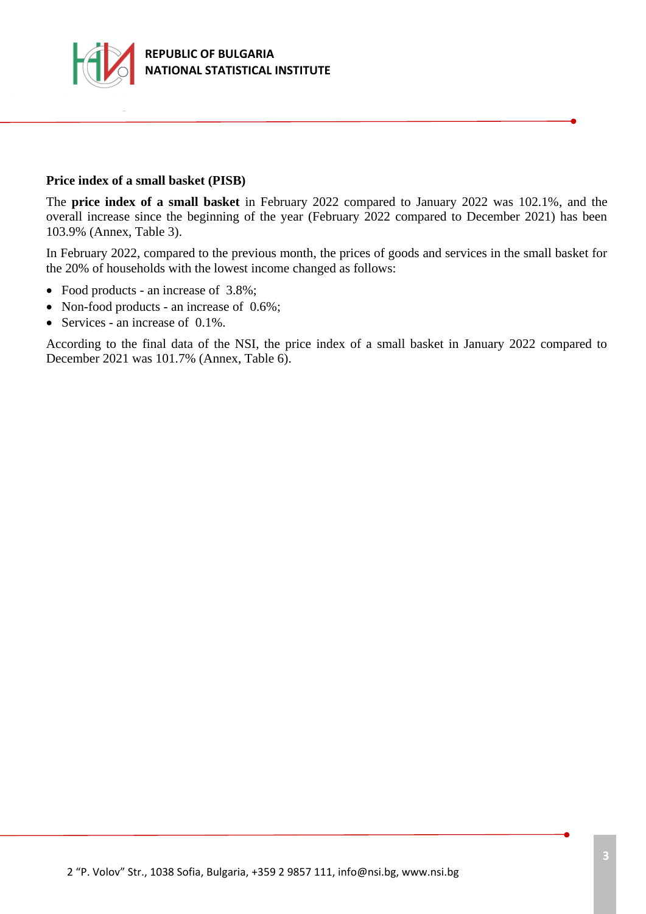

#### **Price index of a small basket (PISB)**

The **price index of a small basket** in February 2022 compared to January 2022 was 102.1%, and the overall increase since the beginning of the year (February 2022 compared to December 2021) has been 103.9% (Annex, Table 3).

In February 2022, compared to the previous month, the prices of goods and services in the small basket for the 20% of households with the lowest income changed as follows:

- Food products an increase of 3.8%;
- Non-food products an increase of 0.6%;
- Services an increase of  $0.1\%$ .

According to the final data of the NSI, the price index of a small basket in January 2022 compared to December 2021 was 101.7% (Annex, Table 6).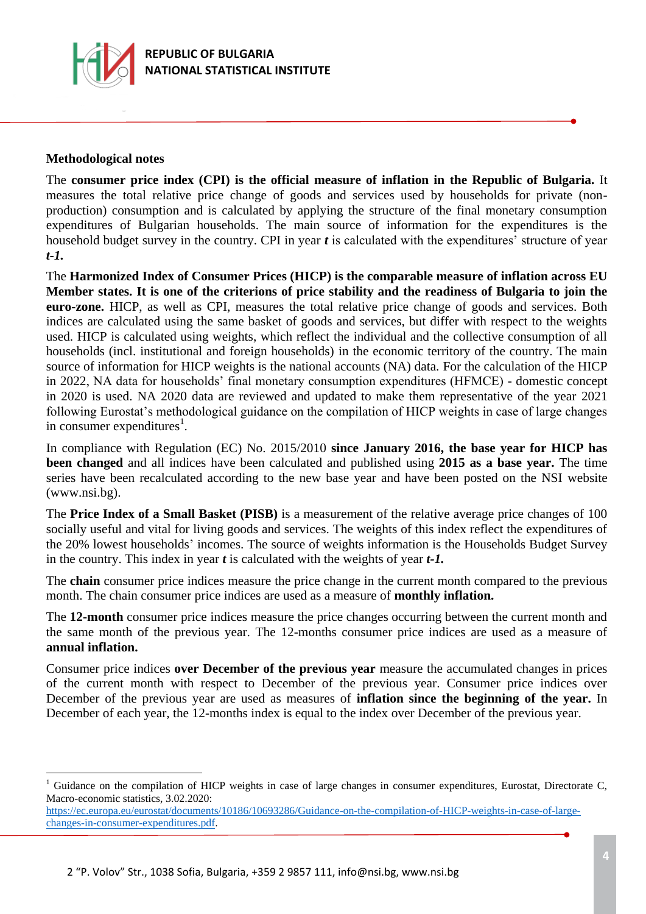

### **Methodological notes**

a<br>B

The **consumer price index (CPI) is the official measure of inflation in the Republic of Bulgaria.** It measures the total relative price change of goods and services used by households for private (nonproduction) consumption and is calculated by applying the structure of the final monetary consumption expenditures of Bulgarian households. The main source of information for the expenditures is the household budget survey in the country. CPI in year *t* is calculated with the expenditures' structure of year *t-1.*

The **Harmonized Index of Consumer Prices (HICP) is the comparable measure of inflation across EU Member states. It is one of the criterions of price stability and the readiness of Bulgaria to join the euro-zone.** HICP, as well as CPI, measures the total relative price change of goods and services. Both indices are calculated using the same basket of goods and services, but differ with respect to the weights used. HICP is calculated using weights, which reflect the individual and the collective consumption of all households (incl. institutional and foreign households) in the economic territory of the country. The main source of information for HICP weights is the national accounts (NA) data. For the calculation of the HICP in 2022, NA data for households' final monetary consumption expenditures (HFMCE) - domestic concept in 2020 is used. NA 2020 data are reviewed and updated to make them representative of the year 2021 following Eurostat's methodological guidance on the compilation of HICP weights in case of large changes in consumer expenditures<sup>1</sup>.

In compliance with Regulation (EC) No. 2015/2010 **since January 2016, the base year for HICP has been changed** and all indices have been calculated and published using **2015 as a base year.** The time series have been recalculated according to the new base year and have been posted on the NSI website (www.nsi.bg).

The **Price Index of a Small Basket (PISB)** is a measurement of the relative average price changes of 100 socially useful and vital for living goods and services. The weights of this index reflect the expenditures of the 20% lowest households' incomes. The source of weights information is the Households Budget Survey in the country. This index in year *t* is calculated with the weights of year *t-1.*

The **chain** consumer price indices measure the price change in the current month compared to the previous month. The chain consumer price indices are used as a measure of **monthly inflation.**

The **12-month** consumer price indices measure the price changes occurring between the current month and the same month of the previous year. The 12-months consumer price indices are used as a measure of **annual inflation.**

Consumer price indices **over December of the previous year** measure the accumulated changes in prices of the current month with respect to December of the previous year. Consumer price indices over December of the previous year are used as measures of **inflation since the beginning of the year.** In December of each year, the 12-months index is equal to the index over December of the previous year.

Guidance on the compilation of HICP weights in case of large changes in consumer expenditures, Eurostat, Directorate C, Macro-economic statistics, 3.02.2020:

[https://ec.europa.eu/eurostat/documents/10186/10693286/Guidance-on-the-compilation-of-HICP-weights-in-case-of-large](https://ec.europa.eu/eurostat/documents/10186/10693286/Guidance-on-the-compilation-of-HICP-weights-in-case-of-large-changes-in-consumer-expenditures.pdf)[changes-in-consumer-expenditures.pdf.](https://ec.europa.eu/eurostat/documents/10186/10693286/Guidance-on-the-compilation-of-HICP-weights-in-case-of-large-changes-in-consumer-expenditures.pdf)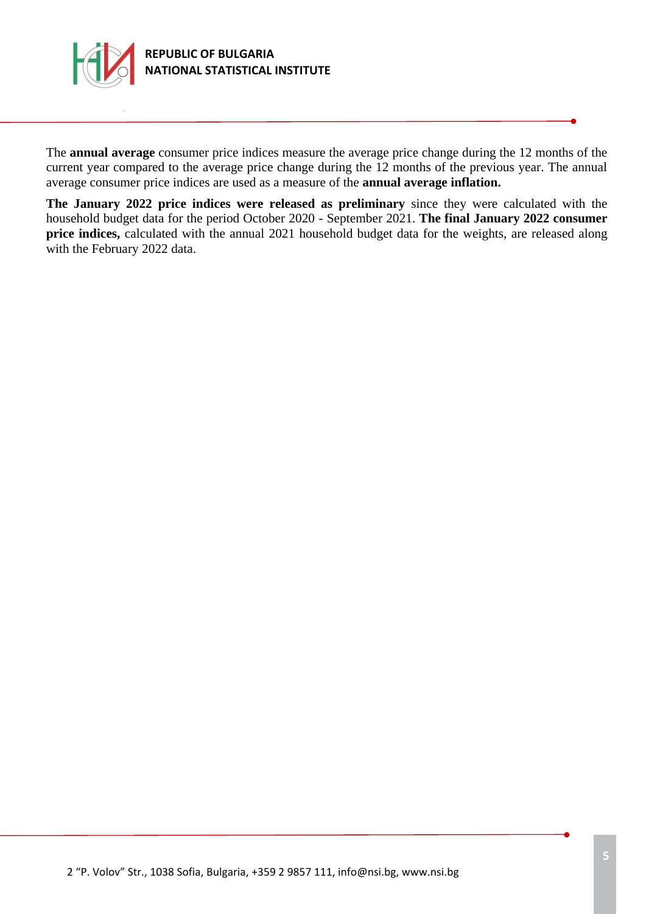

The **annual average** consumer price indices measure the average price change during the 12 months of the current year compared to the average price change during the 12 months of the previous year. The annual average consumer price indices are used as a measure of the **annual average inflation.**

**The January 2022 price indices were released as preliminary** since they were calculated with the household budget data for the period October 2020 - September 2021. **The final January 2022 consumer price indices,** calculated with the annual 2021 household budget data for the weights, are released along with the February 2022 data.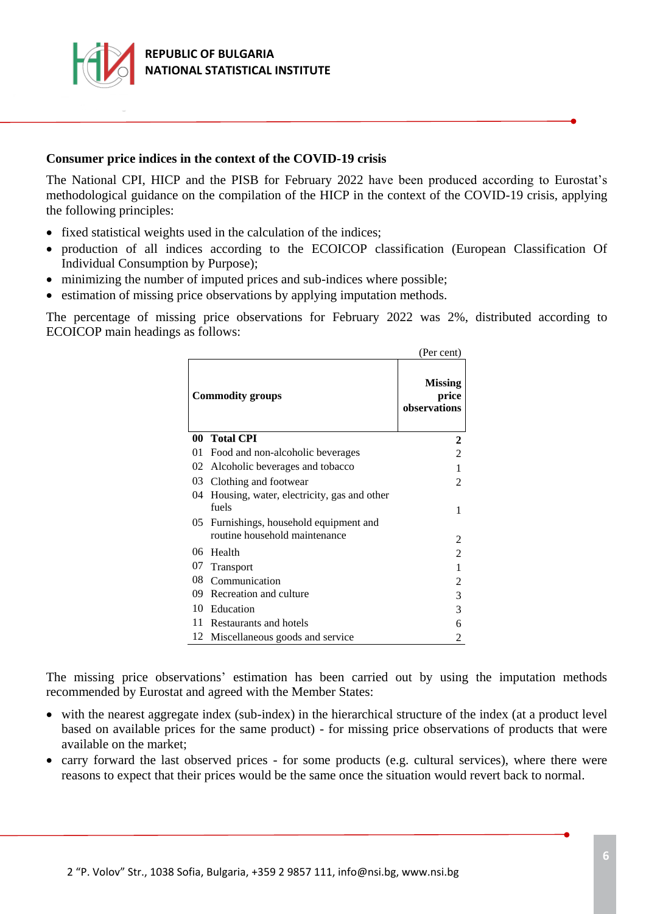

### **Consumer price indices in the context of the COVID-19 crisis**

The National CPI, HICP and the PISB for February 2022 have been produced according to Eurostat's methodological guidance on the compilation of the HICP in the context of the COVID-19 crisis, applying the following principles:

- fixed statistical weights used in the calculation of the indices;
- production of all indices according to the ECOICOP classification (European Classification Of Individual Consumption by Purpose);
- minimizing the number of imputed prices and sub-indices where possible;
- estimation of missing price observations by applying imputation methods.

The percentage of missing price observations for February 2022 was 2%, distributed according to ECOICOP main headings as follows:

|                         |                                                                       | (Per cent)                              |
|-------------------------|-----------------------------------------------------------------------|-----------------------------------------|
| <b>Commodity groups</b> |                                                                       | <b>Missing</b><br>price<br>observations |
| 00                      | <b>Total CPI</b>                                                      | 2                                       |
| 01                      | Food and non-alcoholic beverages                                      | $\overline{c}$                          |
| 02                      | Alcoholic beverages and tobacco                                       | 1                                       |
| 03                      | Clothing and footwear                                                 | $\mathfrak{D}$                          |
| 04                      | Housing, water, electricity, gas and other<br>fuels                   | 1                                       |
| 05                      | Furnishings, household equipment and<br>routine household maintenance | 2                                       |
| 06                      | Health                                                                | $\overline{2}$                          |
| 07                      | <b>Transport</b>                                                      | 1                                       |
| 08                      | Communication                                                         | 2                                       |
| 09                      | Recreation and culture                                                | 3                                       |
| 10                      | Education                                                             | 3                                       |
| 11                      | Restaurants and hotels                                                | 6                                       |
| 12                      | Miscellaneous goods and service                                       | 2                                       |

The missing price observations' estimation has been carried out by using the imputation methods recommended by Eurostat and agreed with the Member States:

- with the nearest aggregate index (sub-index) in the hierarchical structure of the index (at a product level based on available prices for the same product) - for missing price observations of products that were available on the market;
- carry forward the last observed prices for some products (e.g. cultural services), where there were reasons to expect that their prices would be the same once the situation would revert back to normal.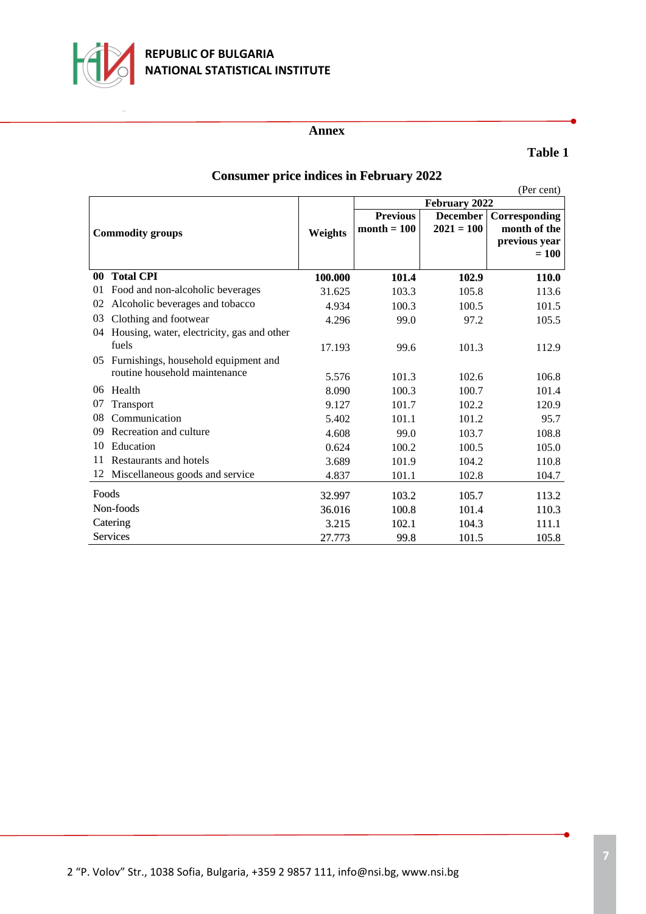

## **REPUBLIC OF BULGARIA NATIONAL STATISTICAL INSTITUTE**

#### **Annex**

## **Table 1**

|           |                                            |                |                 |                 | (Per cent)    |
|-----------|--------------------------------------------|----------------|-----------------|-----------------|---------------|
|           |                                            |                |                 | February 2022   |               |
|           |                                            |                | <b>Previous</b> | <b>December</b> | Corresponding |
|           | <b>Commodity groups</b>                    | <b>Weights</b> | $month = 100$   | $2021 = 100$    | month of the  |
|           |                                            |                |                 |                 | previous year |
|           |                                            |                |                 |                 | $= 100$       |
| $\bf{00}$ | <b>Total CPI</b>                           | 100.000        | 101.4           | 102.9           | <b>110.0</b>  |
| 01        | Food and non-alcoholic beverages           | 31.625         | 103.3           | 105.8           | 113.6         |
| 02        | Alcoholic beverages and tobacco            | 4.934          | 100.3           | 100.5           | 101.5         |
| 03        | Clothing and footwear                      | 4.296          | 99.0            | 97.2            | 105.5         |
| 04        | Housing, water, electricity, gas and other |                |                 |                 |               |
|           | fuels                                      | 17.193         | 99.6            | 101.3           | 112.9         |
|           | 05 Furnishings, household equipment and    |                |                 |                 |               |
|           | routine household maintenance              | 5.576          | 101.3           | 102.6           | 106.8         |
| 06        | Health                                     | 8.090          | 100.3           | 100.7           | 101.4         |
| 07        | Transport                                  | 9.127          | 101.7           | 102.2           | 120.9         |
| 08        | Communication                              | 5.402          | 101.1           | 101.2           | 95.7          |
| 09        | Recreation and culture                     | 4.608          | 99.0            | 103.7           | 108.8         |
| 10        | Education                                  | 0.624          | 100.2           | 100.5           | 105.0         |
| 11        | Restaurants and hotels                     | 3.689          | 101.9           | 104.2           | 110.8         |
| 12        | Miscellaneous goods and service            | 4.837          | 101.1           | 102.8           | 104.7         |
| Foods     |                                            | 32.997         | 103.2           | 105.7           | 113.2         |
| Non-foods |                                            | 36.016         | 100.8           | 101.4           | 110.3         |
| Catering  |                                            | 3.215          | 102.1           | 104.3           | 111.1         |
| Services  |                                            | 27.773         | 99.8            | 101.5           | 105.8         |

# **Consumer price indices in February 2022**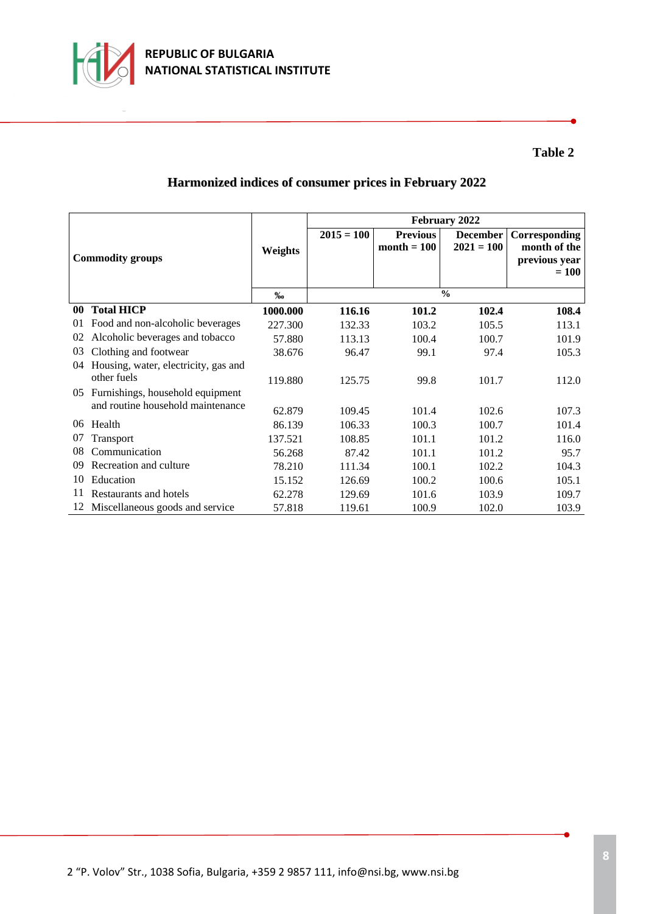

# **Harmonized indices of consumer prices in February 2022**

| <b>Commodity groups</b> |                                      |          | February 2022 |                                  |                                 |                                                |  |
|-------------------------|--------------------------------------|----------|---------------|----------------------------------|---------------------------------|------------------------------------------------|--|
|                         |                                      | Weights  | $2015 = 100$  | <b>Previous</b><br>$month = 100$ | <b>December</b><br>$2021 = 100$ | Corresponding<br>month of the<br>previous year |  |
|                         |                                      |          |               |                                  |                                 | $= 100$                                        |  |
|                         |                                      | %        | $\frac{0}{0}$ |                                  |                                 |                                                |  |
| 00                      | <b>Total HICP</b>                    | 1000.000 | 116.16        | 101.2                            | 102.4                           | 108.4                                          |  |
| 01                      | Food and non-alcoholic beverages     | 227.300  | 132.33        | 103.2                            | 105.5                           | 113.1                                          |  |
| 02                      | Alcoholic beverages and tobacco      | 57.880   | 113.13        | 100.4                            | 100.7                           | 101.9                                          |  |
| 03                      | Clothing and footwear                | 38.676   | 96.47         | 99.1                             | 97.4                            | 105.3                                          |  |
| 04                      | Housing, water, electricity, gas and |          |               |                                  |                                 |                                                |  |
|                         | other fuels                          | 119.880  | 125.75        | 99.8                             | 101.7                           | 112.0                                          |  |
| 0.5                     | Furnishings, household equipment     |          |               |                                  |                                 |                                                |  |
|                         | and routine household maintenance    | 62.879   | 109.45        | 101.4                            | 102.6                           | 107.3                                          |  |
| 06                      | Health                               | 86.139   | 106.33        | 100.3                            | 100.7                           | 101.4                                          |  |
| 07                      | Transport                            | 137.521  | 108.85        | 101.1                            | 101.2                           | 116.0                                          |  |
| 08                      | Communication                        | 56.268   | 87.42         | 101.1                            | 101.2                           | 95.7                                           |  |
| 09                      | Recreation and culture               | 78.210   | 111.34        | 100.1                            | 102.2                           | 104.3                                          |  |
| 10                      | Education                            | 15.152   | 126.69        | 100.2                            | 100.6                           | 105.1                                          |  |
| 11                      | Restaurants and hotels               | 62.278   | 129.69        | 101.6                            | 103.9                           | 109.7                                          |  |
|                         | 12 Miscellaneous goods and service   | 57.818   | 119.61        | 100.9                            | 102.0                           | 103.9                                          |  |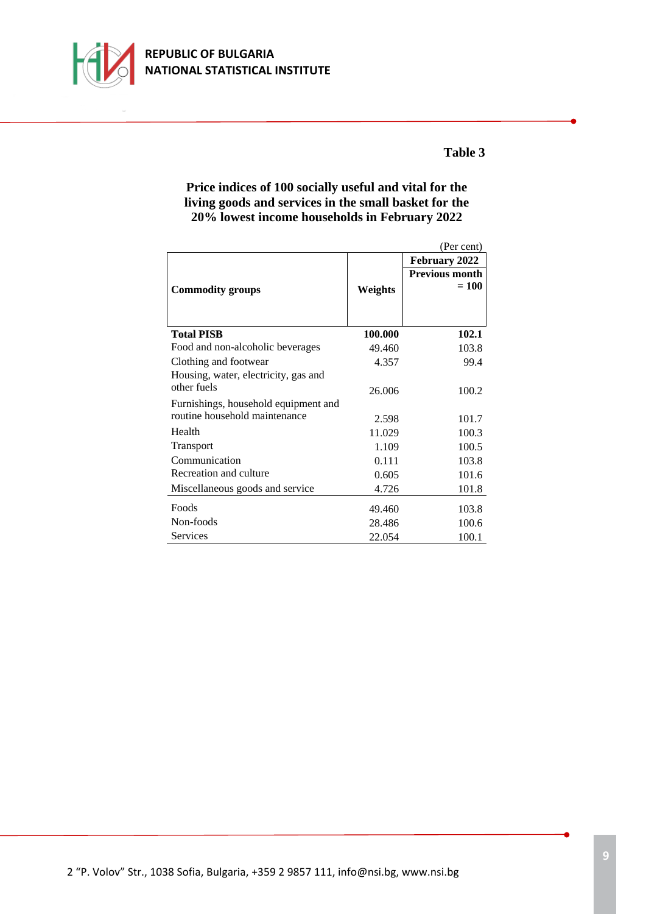

## **Price indices of 100 socially useful and vital for the living goods and services in the small basket for the 20% lowest income households in February 2022**

|                                      |         | (Per cent)                       |
|--------------------------------------|---------|----------------------------------|
|                                      |         | February 2022                    |
| <b>Commodity groups</b>              | Weights | <b>Previous month</b><br>$= 100$ |
| <b>Total PISB</b>                    | 100.000 | 102.1                            |
| Food and non-alcoholic beverages     | 49.460  | 103.8                            |
| Clothing and footwear                | 4.357   | 99.4                             |
| Housing, water, electricity, gas and |         |                                  |
| other fuels                          | 26,006  | 100.2                            |
| Furnishings, household equipment and |         |                                  |
| routine household maintenance        | 2.598   | 101.7                            |
| Health                               | 11.029  | 100.3                            |
| <b>Transport</b>                     | 1.109   | 100.5                            |
| Communication                        | 0.111   | 103.8                            |
| Recreation and culture               | 0.605   | 101.6                            |
| Miscellaneous goods and service      | 4.726   | 101.8                            |
| Foods                                | 49.460  | 103.8                            |
| Non-foods                            | 28.486  | 100.6                            |
| <b>Services</b>                      | 22.054  | 100.1                            |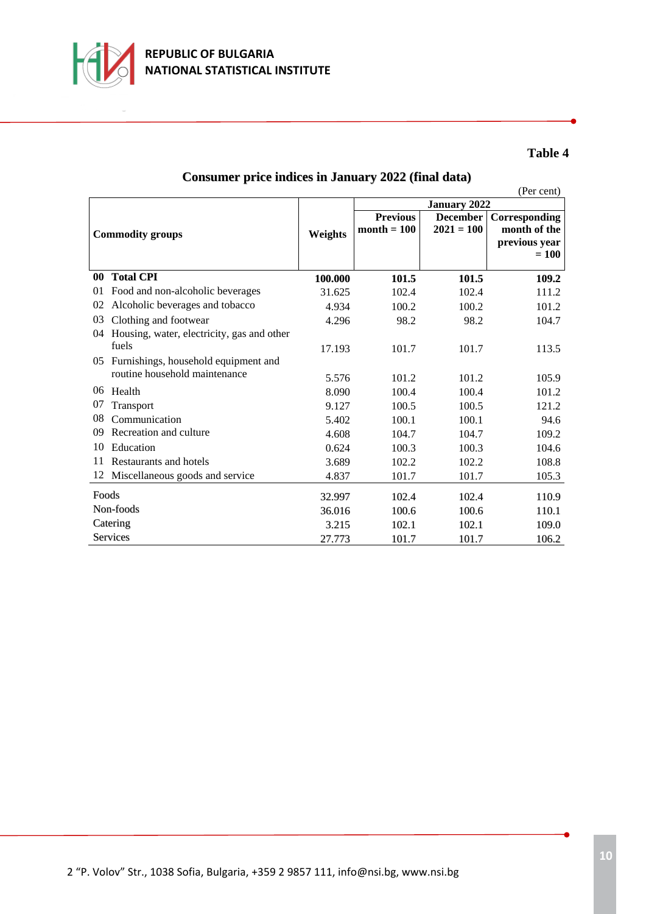

| <b>Consumer price indices in January 2022 (final data)</b> |  |  |  |  |
|------------------------------------------------------------|--|--|--|--|
|------------------------------------------------------------|--|--|--|--|

(Per cent)

|                         |                                            |         | <b>January 2022</b> |                 |                          |
|-------------------------|--------------------------------------------|---------|---------------------|-----------------|--------------------------|
|                         |                                            |         | <b>Previous</b>     | <b>December</b> | Corresponding            |
| <b>Commodity groups</b> |                                            | Weights | $month = 100$       | $2021 = 100$    | month of the             |
|                         |                                            |         |                     |                 | previous year<br>$= 100$ |
|                         |                                            |         |                     |                 |                          |
| $\bf{00}$               | <b>Total CPI</b>                           | 100.000 | 101.5               | 101.5           | 109.2                    |
| 01                      | Food and non-alcoholic beverages           | 31.625  | 102.4               | 102.4           | 111.2                    |
| 02                      | Alcoholic beverages and tobacco            | 4.934   | 100.2               | 100.2           | 101.2                    |
| 03                      | Clothing and footwear                      | 4.296   | 98.2                | 98.2            | 104.7                    |
| 04                      | Housing, water, electricity, gas and other |         |                     |                 |                          |
|                         | fuels                                      | 17.193  | 101.7               | 101.7           | 113.5                    |
| 05                      | Furnishings, household equipment and       |         |                     |                 |                          |
|                         | routine household maintenance              | 5.576   | 101.2               | 101.2           | 105.9                    |
| 06                      | Health                                     | 8.090   | 100.4               | 100.4           | 101.2                    |
| 07                      | Transport                                  | 9.127   | 100.5               | 100.5           | 121.2                    |
| 08                      | Communication                              | 5.402   | 100.1               | 100.1           | 94.6                     |
| 09                      | Recreation and culture                     | 4.608   | 104.7               | 104.7           | 109.2                    |
| 10                      | Education                                  | 0.624   | 100.3               | 100.3           | 104.6                    |
| 11                      | Restaurants and hotels                     | 3.689   | 102.2               | 102.2           | 108.8                    |
| 12                      | Miscellaneous goods and service            | 4.837   | 101.7               | 101.7           | 105.3                    |
| Foods                   |                                            | 32.997  | 102.4               | 102.4           | 110.9                    |
| Non-foods               |                                            | 36.016  | 100.6               | 100.6           | 110.1                    |
| Catering                |                                            | 3.215   | 102.1               | 102.1           | 109.0                    |
| Services                |                                            | 27.773  | 101.7               | 101.7           | 106.2                    |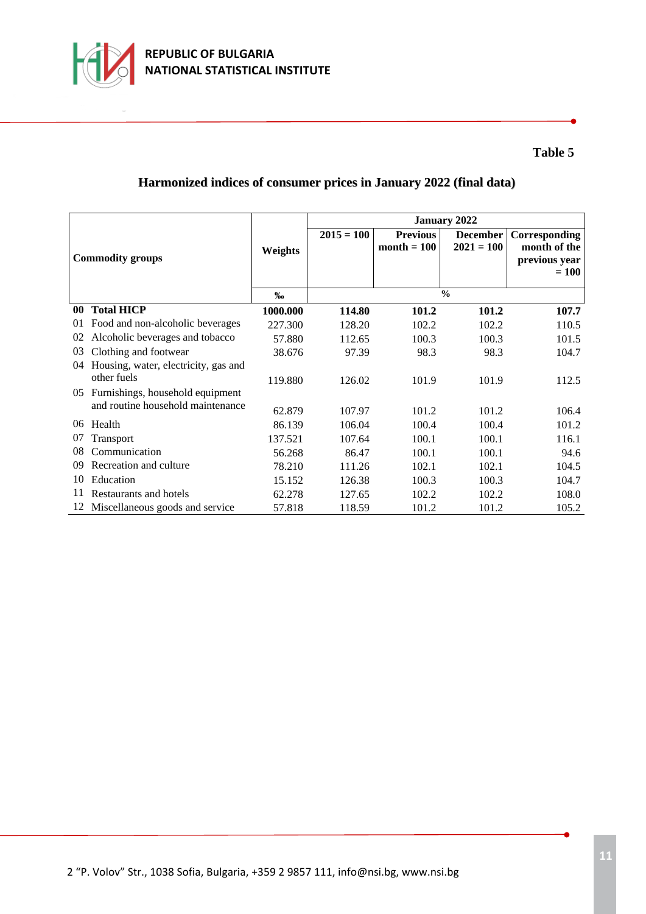

# **Harmonized indices of consumer prices in January 2022 (final data)**

|    |                                      |          | <b>January 2022</b> |                 |                 |               |  |
|----|--------------------------------------|----------|---------------------|-----------------|-----------------|---------------|--|
|    |                                      |          | $2015 = 100$        | <b>Previous</b> | <b>December</b> | Corresponding |  |
|    |                                      | Weights  |                     | $month = 100$   | $2021 = 100$    | month of the  |  |
|    | <b>Commodity groups</b>              |          |                     |                 |                 | previous year |  |
|    |                                      |          |                     |                 |                 | $= 100$       |  |
|    |                                      | %        | $\frac{0}{0}$       |                 |                 |               |  |
| 00 | <b>Total HICP</b>                    | 1000.000 | 114.80              | 101.2           | 101.2           | 107.7         |  |
| 01 | Food and non-alcoholic beverages     | 227.300  | 128.20              | 102.2           | 102.2           | 110.5         |  |
| 02 | Alcoholic beverages and tobacco      | 57.880   | 112.65              | 100.3           | 100.3           | 101.5         |  |
| 03 | Clothing and footwear                | 38.676   | 97.39               | 98.3            | 98.3            | 104.7         |  |
| 04 | Housing, water, electricity, gas and |          |                     |                 |                 |               |  |
|    | other fuels                          | 119.880  | 126.02              | 101.9           | 101.9           | 112.5         |  |
| 05 | Furnishings, household equipment     |          |                     |                 |                 |               |  |
|    | and routine household maintenance    | 62.879   | 107.97              | 101.2           | 101.2           | 106.4         |  |
| 06 | Health                               | 86.139   | 106.04              | 100.4           | 100.4           | 101.2         |  |
| 07 | Transport                            | 137.521  | 107.64              | 100.1           | 100.1           | 116.1         |  |
| 08 | Communication                        | 56.268   | 86.47               | 100.1           | 100.1           | 94.6          |  |
| 09 | Recreation and culture               | 78.210   | 111.26              | 102.1           | 102.1           | 104.5         |  |
| 10 | Education                            | 15.152   | 126.38              | 100.3           | 100.3           | 104.7         |  |
| 11 | Restaurants and hotels               | 62.278   | 127.65              | 102.2           | 102.2           | 108.0         |  |
|    | 12 Miscellaneous goods and service   | 57.818   | 118.59              | 101.2           | 101.2           | 105.2         |  |